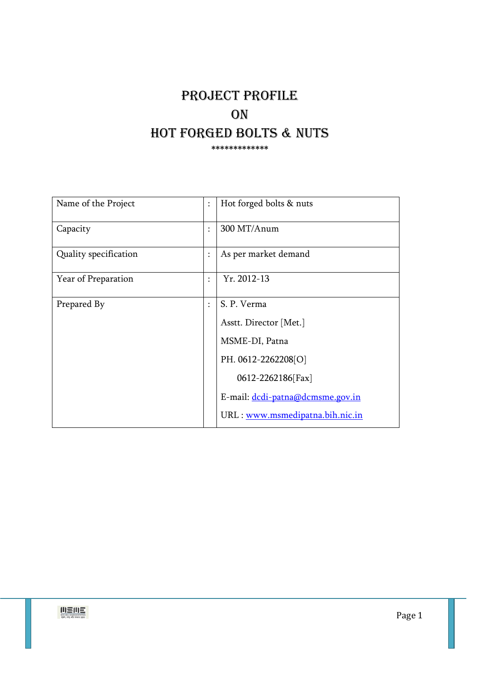# PROJECT PROFILE **ON** HOT FORGED BOLTS & NUTS \*\*\*\*\*\*\*\*\*\*\*\*\*

| Name of the Project   | $\ddot{\phantom{a}}$ | Hot forged bolts & nuts          |
|-----------------------|----------------------|----------------------------------|
| Capacity              | $\ddot{\phantom{a}}$ | 300 MT/Anum                      |
| Quality specification | $\ddot{\cdot}$       | As per market demand             |
| Year of Preparation   | $\ddot{\cdot}$       | Yr. 2012-13                      |
| Prepared By           | $\ddot{\phantom{a}}$ | S. P. Verma                      |
|                       |                      | Asstt. Director [Met.]           |
|                       |                      | MSME-DI, Patna                   |
|                       |                      | PH. 0612-2262208[O]              |
|                       |                      | 0612-2262186[Fax]                |
|                       |                      | E-mail: dcdi-patna@dcmsme.gov.in |
|                       |                      | URL: www.msmedipatna.bih.nic.in  |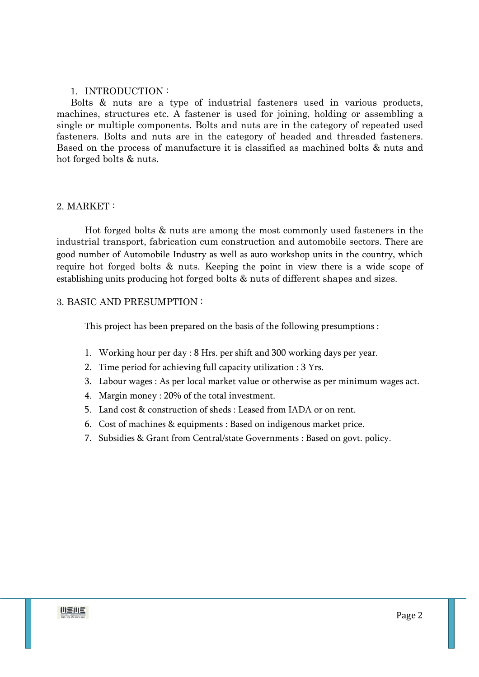#### 1. INTRODUCTION :

Bolts & nuts are a type of industrial fasteners used in various products, machines, structures etc. A fastener is used for joining, holding or assembling a single or multiple components. Bolts and nuts are in the category of repeated used fasteners. Bolts and nuts are in the category of headed and threaded fasteners. Based on the process of manufacture it is classified as machined bolts & nuts and hot forged bolts & nuts.

### 2. MARKET :

Hot forged bolts & nuts are among the most commonly used fasteners in the industrial transport, fabrication cum construction and automobile sectors. There are good number of Automobile Industry as well as auto workshop units in the country, which require hot forged bolts & nuts. Keeping the point in view there is a wide scope of establishing units producing hot forged bolts & nuts of different shapes and sizes.

### 3. BASIC AND PRESUMPTION :

This project has been prepared on the basis of the following presumptions :

- 1. Working hour per day : 8 Hrs. per shift and 300 working days per year.
- 2. Time period for achieving full capacity utilization : 3 Yrs.
- 3. Labour wages : As per local market value or otherwise as per minimum wages act.
- 4. Margin money : 20% of the total investment.
- 5. Land cost & construction of sheds : Leased from IADA or on rent.
- 6. Cost of machines & equipments : Based on indigenous market price.
- 7. Subsidies & Grant from Central/state Governments : Based on govt. policy.

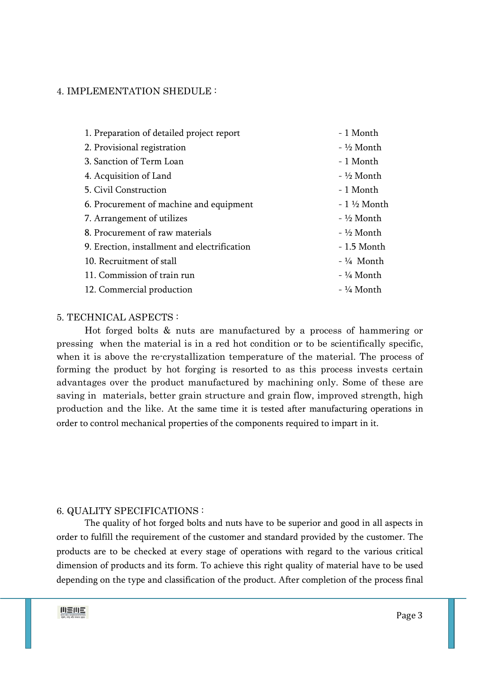#### 4. IMPLEMENTATION SHEDULE :

| 1. Preparation of detailed project report    | - 1 Month             |
|----------------------------------------------|-----------------------|
| 2. Provisional registration                  | - ½ Month             |
| 3. Sanction of Term Loan                     | - 1 Month             |
| 4. Acquisition of Land                       | - ½ Month             |
| 5. Civil Construction                        | - 1 Month             |
| 6. Procurement of machine and equipment      | $-1\frac{1}{2}$ Month |
| 7. Arrangement of utilizes                   | - ½ Month             |
| 8. Procurement of raw materials              | - ½ Month             |
| 9. Erection, installment and electrification | - 1.5 Month           |
| 10. Recruitment of stall                     | $-$ ¼ Month           |
| 11. Commission of train run                  | - ¼ Month             |
| 12. Commercial production                    | - ¼ Month             |

### 5. TECHNICAL ASPECTS :

Hot forged bolts & nuts are manufactured by a process of hammering or pressing when the material is in a red hot condition or to be scientifically specific, when it is above the re-crystallization temperature of the material. The process of forming the product by hot forging is resorted to as this process invests certain advantages over the product manufactured by machining only. Some of these are saving in materials, better grain structure and grain flow, improved strength, high production and the like. At the same time it is tested after manufacturing operations in order to control mechanical properties of the components required to impart in it.

#### 6. QUALITY SPECIFICATIONS :

The quality of hot forged bolts and nuts have to be superior and good in all aspects in order to fulfill the requirement of the customer and standard provided by the customer. The products are to be checked at every stage of operations with regard to the various critical dimension of products and its form. To achieve this right quality of material have to be used depending on the type and classification of the product. After completion of the process final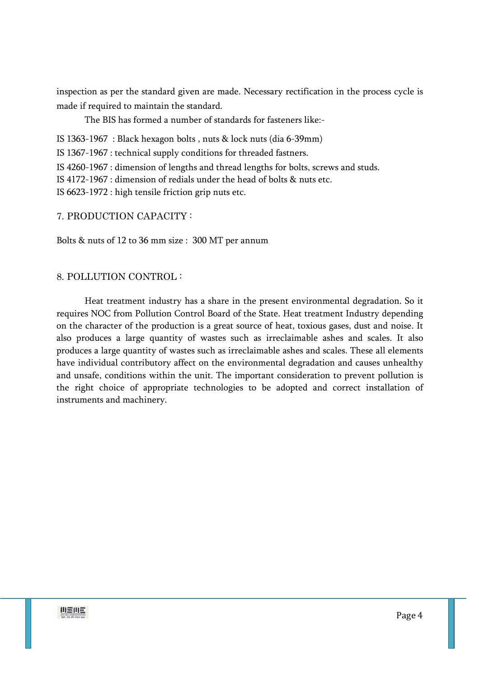inspection as per the standard given are made. Necessary rectification in the process cycle is made if required to maintain the standard.

The BIS has formed a number of standards for fasteners like:-

IS 1363-1967 : Black hexagon bolts , nuts & lock nuts (dia 6-39mm)

IS 1367-1967 : technical supply conditions for threaded fastners.

IS 4260-1967 : dimension of lengths and thread lengths for bolts, screws and studs.

IS 4172-1967 : dimension of redials under the head of bolts & nuts etc.

IS 6623-1972 : high tensile friction grip nuts etc.

7. PRODUCTION CAPACITY :

Bolts & nuts of 12 to 36 mm size : 300 MT per annum

### 8. POLLUTION CONTROL :

 Heat treatment industry has a share in the present environmental degradation. So it requires NOC from Pollution Control Board of the State. Heat treatment Industry depending on the character of the production is a great source of heat, toxious gases, dust and noise. It also produces a large quantity of wastes such as irreclaimable ashes and scales. It also produces a large quantity of wastes such as irreclaimable ashes and scales. These all elements have individual contributory affect on the environmental degradation and causes unhealthy and unsafe, conditions within the unit. The important consideration to prevent pollution is the right choice of appropriate technologies to be adopted and correct installation of instruments and machinery.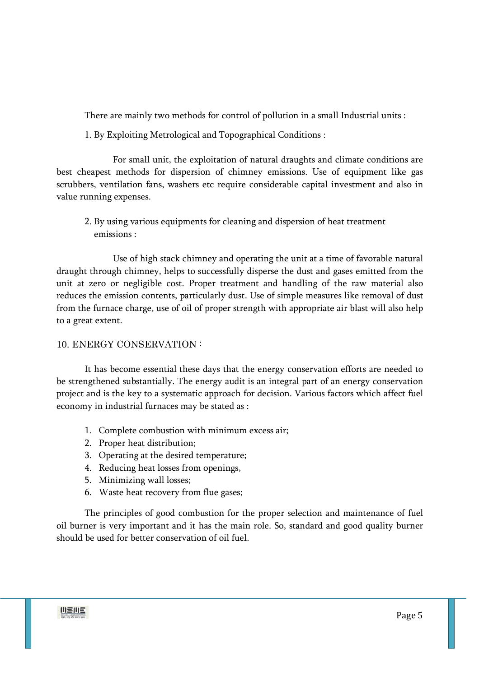There are mainly two methods for control of pollution in a small Industrial units :

1. By Exploiting Metrological and Topographical Conditions :

 For small unit, the exploitation of natural draughts and climate conditions are best cheapest methods for dispersion of chimney emissions. Use of equipment like gas scrubbers, ventilation fans, washers etc require considerable capital investment and also in value running expenses.

 2. By using various equipments for cleaning and dispersion of heat treatment emissions :

 Use of high stack chimney and operating the unit at a time of favorable natural draught through chimney, helps to successfully disperse the dust and gases emitted from the unit at zero or negligible cost. Proper treatment and handling of the raw material also reduces the emission contents, particularly dust. Use of simple measures like removal of dust from the furnace charge, use of oil of proper strength with appropriate air blast will also help to a great extent.

# 10. ENERGY CONSERVATION :

 It has become essential these days that the energy conservation efforts are needed to be strengthened substantially. The energy audit is an integral part of an energy conservation project and is the key to a systematic approach for decision. Various factors which affect fuel economy in industrial furnaces may be stated as :

- 1. Complete combustion with minimum excess air;
- 2. Proper heat distribution;
- 3. Operating at the desired temperature;
- 4. Reducing heat losses from openings,
- 5. Minimizing wall losses;
- 6. Waste heat recovery from flue gases;

The principles of good combustion for the proper selection and maintenance of fuel oil burner is very important and it has the main role. So, standard and good quality burner should be used for better conservation of oil fuel.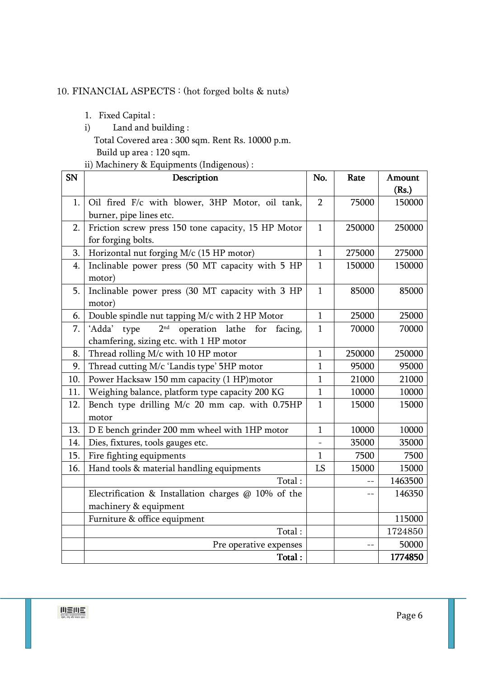# 10. FINANCIAL ASPECTS : (hot forged bolts & nuts)

- 1. Fixed Capital :
- i) Land and building : Total Covered area : 300 sqm. Rent Rs. 10000 p.m. Build up area : 120 sqm.
- ii) Machinery & Equipments (Indigenous) :

| <b>SN</b> | Description                                                            | No.            | Rate   | Amount  |
|-----------|------------------------------------------------------------------------|----------------|--------|---------|
|           |                                                                        |                |        | (Rs.)   |
| 1.        | Oil fired F/c with blower, 3HP Motor, oil tank,                        | $\overline{2}$ | 75000  | 150000  |
|           | burner, pipe lines etc.                                                |                |        |         |
| 2.        | Friction screw press 150 tone capacity, 15 HP Motor                    | 1              | 250000 | 250000  |
|           | for forging bolts.                                                     |                |        |         |
| 3.        | Horizontal nut forging M/c (15 HP motor)                               | $\mathbf{1}$   | 275000 | 275000  |
| 4.        | Inclinable power press (50 MT capacity with 5 HP                       | $\mathbf{1}$   | 150000 | 150000  |
|           | motor)                                                                 |                |        |         |
| 5.        | Inclinable power press (30 MT capacity with 3 HP                       | $\mathbf{1}$   | 85000  | 85000   |
|           | motor)                                                                 |                |        |         |
| 6.        | Double spindle nut tapping M/c with 2 HP Motor                         | $\mathbf{1}$   | 25000  | 25000   |
| 7.        | 2 <sup>nd</sup><br>'Adda'<br>operation lathe<br>type<br>for<br>facing, | $\mathbf{1}$   | 70000  | 70000   |
|           | chamfering, sizing etc. with 1 HP motor                                |                |        |         |
| 8.        | Thread rolling M/c with 10 HP motor                                    | $\mathbf{1}$   | 250000 | 250000  |
| 9.        | Thread cutting M/c 'Landis type' 5HP motor                             | $\mathbf{1}$   | 95000  | 95000   |
| 10.       | Power Hacksaw 150 mm capacity (1 HP)motor                              | $\mathbf{1}$   | 21000  | 21000   |
| 11.       | Weighing balance, platform type capacity 200 KG                        | $\mathbf{1}$   | 10000  | 10000   |
| 12.       | Bench type drilling M/c 20 mm cap. with 0.75HP                         | 1              | 15000  | 15000   |
|           | motor                                                                  |                |        |         |
| 13.       | D E bench grinder 200 mm wheel with 1HP motor                          | 1              | 10000  | 10000   |
| 14.       | Dies, fixtures, tools gauges etc.                                      |                | 35000  | 35000   |
| 15.       | Fire fighting equipments                                               | 1              | 7500   | 7500    |
| 16.       | Hand tools & material handling equipments                              | LS             | 15000  | 15000   |
|           | Total:                                                                 |                |        | 1463500 |
|           | Electrification & Installation charges @ 10% of the                    |                |        | 146350  |
|           | machinery & equipment                                                  |                |        |         |
|           | Furniture & office equipment                                           |                |        | 115000  |
|           | Total:                                                                 |                |        | 1724850 |
|           | Pre operative expenses                                                 |                |        | 50000   |
|           | Total:                                                                 |                |        | 1774850 |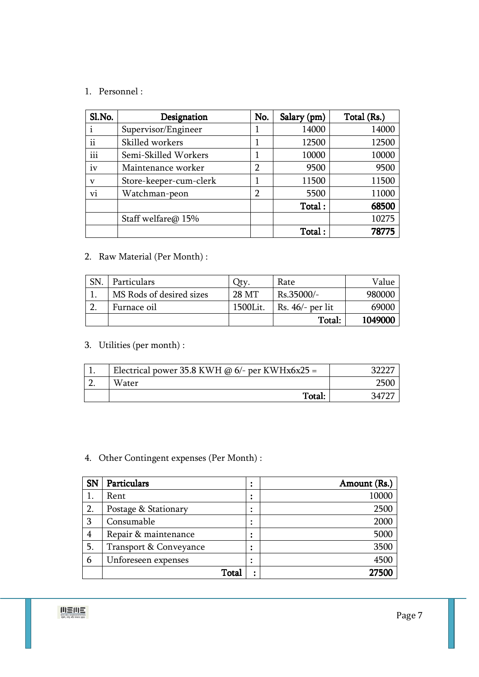# 1. Personnel :

| Sl.No.      | Designation            | No. | Salary (pm) | Total (Rs.) |
|-------------|------------------------|-----|-------------|-------------|
|             | Supervisor/Engineer    |     | 14000       | 14000       |
| ii          | Skilled workers        |     | 12500       | 12500       |
| iii         | Semi-Skilled Workers   |     | 10000       | 10000       |
| iv          | Maintenance worker     | 2   | 9500        | 9500        |
| $\mathbf v$ | Store-keeper-cum-clerk |     | 11500       | 11500       |
| Vĺ.         | Watchman-peon          | 2   | 5500        | 11000       |
|             |                        |     | Total:      | 68500       |
|             | Staff welfare@ 15%     |     |             | 10275       |
|             |                        |     | Total:      | 78775       |

# 2. Raw Material (Per Month) :

| <b>SN</b> | Particulars              | $_{\rm Jtv}$ | Rate               | Value   |
|-----------|--------------------------|--------------|--------------------|---------|
|           | MS Rods of desired sizes | 28 MT        | Rs.35000/-         | 980000  |
|           | Furnace oil              | 1500Lit.     | Rs. $46/-$ per lit | 69000   |
|           |                          |              | Total:             | 1049000 |

# 3. Utilities (per month) :

| Electrical power 35.8 KWH @ $6/-$ per KWHx6x25 = |  |
|--------------------------------------------------|--|
| Water                                            |  |
| Total:                                           |  |

# 4. Other Contingent expenses (Per Month) :

| <b>SN</b> | Particulars            | ٠<br>$\bullet$ | Amount (Rs.) |
|-----------|------------------------|----------------|--------------|
|           | Rent                   | $\bullet$      | 10000        |
| 2.        | Postage & Stationary   | ٠<br>٠         | 2500         |
| 3         | Consumable             | ٠<br>٠         | 2000         |
| 4         | Repair & maintenance   | $\bullet$<br>٠ | 5000         |
| 5.        | Transport & Conveyance | ٠<br>٠         | 3500         |
| 6         | Unforeseen expenses    | ٠<br>٠         | 4500         |
|           | Total                  | ٠              | 27500        |

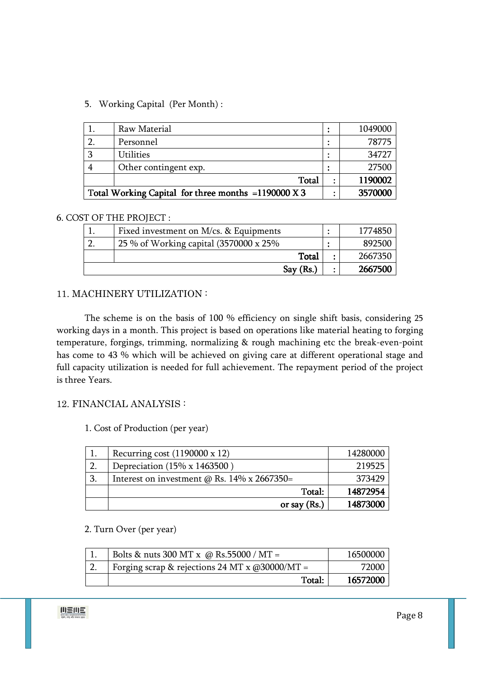# 5. Working Capital (Per Month) :

|                                                     | Raw Material          |   | 1049000 |
|-----------------------------------------------------|-----------------------|---|---------|
|                                                     | Personnel             |   | 78775   |
|                                                     | <b>Utilities</b>      |   | 34727   |
|                                                     | Other contingent exp. |   | 27500   |
|                                                     | Total                 |   | 1190002 |
| Total Working Capital for three months =1190000 X 3 |                       | ٠ | 3570000 |

#### 6. COST OF THE PROJECT :

| Fixed investment on M/cs. & Equipments  | 1774850 |
|-----------------------------------------|---------|
| 25 % of Working capital (3570000 x 25%) | 892500  |
| Total                                   | 2667350 |
| Sav(Rs.)                                | 2667500 |

# 11. MACHINERY UTILIZATION :

 The scheme is on the basis of 100 % efficiency on single shift basis, considering 25 working days in a month. This project is based on operations like material heating to forging temperature, forgings, trimming, normalizing & rough machining etc the break-even-point has come to 43 % which will be achieved on giving care at different operational stage and full capacity utilization is needed for full achievement. The repayment period of the project is three Years.

# 12. FINANCIAL ANALYSIS :

1. Cost of Production (per year)

|    | Recurring cost $(1190000 \times 12)$               | 14280000 |
|----|----------------------------------------------------|----------|
| 2. | Depreciation (15% x 1463500)                       | 219525   |
| 3. | Interest on investment $\omega$ Rs. 14% x 2667350= | 373429   |
|    | Total:                                             | 14872954 |
|    | or say $(Rs.)$                                     | 14873000 |

# 2. Turn Over (per year)

| Bolts & nuts 300 MT x @ Rs.55000 / MT =          | 16500000 |
|--------------------------------------------------|----------|
| Forging scrap & rejections 24 MT x $@30000/MT =$ | 72000    |
| Total:                                           | 16572000 |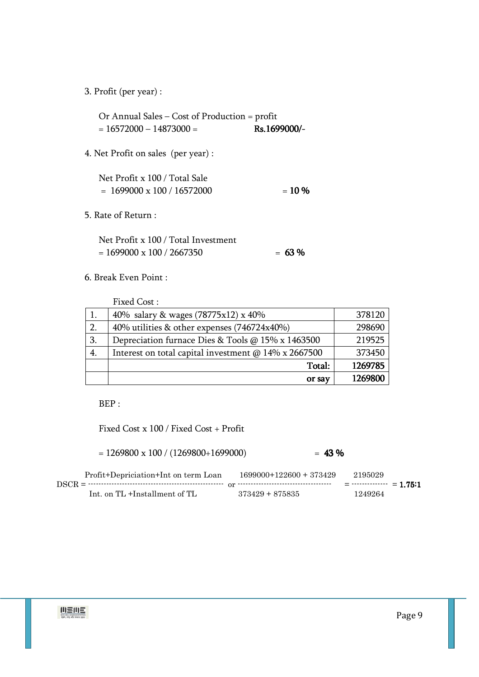3. Profit (per year) :

Or Annual Sales – Cost of Production = profit  $= 16572000 - 14873000 =$ Rs.1699000/-

4. Net Profit on sales (per year) :

| Net Profit x 100 / Total Sale     |          |
|-----------------------------------|----------|
| $= 1699000 \times 100 / 16572000$ | $= 10\%$ |

5. Rate of Return :

Net Profit x 100 / Total Investment  $= 1699000 \times 100 / 2667350$   $= 63\%$ 

6. Break Even Point :

Fixed Cost : 1. 40% salary & wages (78775x12) x 40% 378120 2. 40% utilities & other expenses (746724x40%) 298690 3. Depreciation furnace Dies & Tools @ 15% x 1463500 219525 4. Interest on total capital investment  $\omega$  14% x 2667500 373450 Total: 1269785 or say 1269800

BEP :

Fixed Cost x 100 / Fixed Cost + Profit

| $= 1269800 \times 100 / (1269800 + 1699000)$ | $= 43 \%$               |         |
|----------------------------------------------|-------------------------|---------|
| Profit+Depriciation+Int on term Loan         | $1699000+122600+373429$ | 2195029 |
| $DSCR = 1$<br>Int. on TL +Installment of TL  | $373429 + 875835$       | 1249264 |